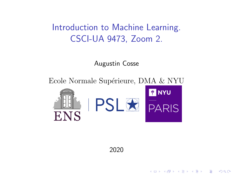# Introduction to Machine Learning. CSCI-UA 9473, Zoom 2.

Augustin Cosse

Ecole Normale Supérieure, DMA & NYU







**KORK ERKER ADE YOUR** 

2020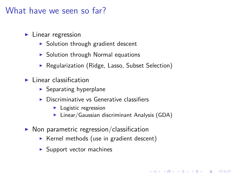# What have we seen so far?

- $\blacktriangleright$  Linear regression
	- $\triangleright$  Solution through gradient descent
	- $\triangleright$  Solution through Normal equations
	- ▶ Regularization (Ridge, Lasso, Subset Selection)
- $\blacktriangleright$  Linear classification
	- $\blacktriangleright$  Separating hyperplane
	- Discriminative vs Generative classifiers
		- $\blacktriangleright$  Logistic regression
		- $\blacktriangleright$  Linear/Gaussian discriminant Analysis (GDA)

**KORK ERKER ADE YOUR** 

- $\triangleright$  Non parametric regression/classification
	- $\triangleright$  Kernel methods (use in gradient descent)
	- $\blacktriangleright$  Support vector machines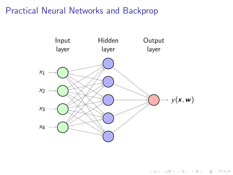

イロト イ団 トイ 差 トイ 差 トー

高。  $2990$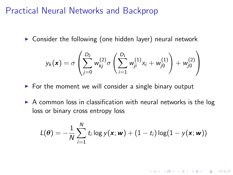$\triangleright$  Consider the following (one hidden layer) neural network

$$
y_k(\mathbf{x}) = \sigma \left( \sum_{j=0}^{D_2} w_{kj}^{(2)} \sigma \left( \sum_{i=1}^{D_1} w_{ji}^{(1)} x_i + w_{j0}^{(1)} \right) + w_{j0}^{(2)} \right)
$$

- $\triangleright$  For the moment we will consider a single binary output
- $\triangleright$  A common loss in classification with neural networks is the log loss or binary cross entropy loss

$$
L(\boldsymbol{\theta}) = -\frac{1}{N} \sum_{i=1}^{N} t_i \log y(\mathbf{x}; \boldsymbol{w}) + (1 - t_i) \log(1 - y(\mathbf{x}; \boldsymbol{w}))
$$

**K ロ ▶ K @ ▶ K 할 X X 할 X 및 할 X X Q Q O**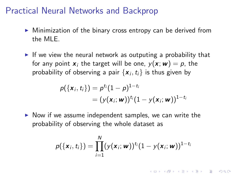- $\triangleright$  Minimization of the binary cross entropy can be derived from the MLE.
- If we view the neural network as outputing a probability that for any point  $x_i$  the target will be one,  $y(x; w) = p$ , the probability of observing a pair  $\{{\boldsymbol x}_i, t_i\}$  is thus given by

$$
p(\lbrace \mathbf{x}_i, t_i \rbrace) = p^{t_i} (1-p)^{1-t_i}
$$
  
= 
$$
(y(\mathbf{x}_i; \mathbf{w}))^{t_i} (1-y(\mathbf{x}_i; \mathbf{w}))^{1-t_i}
$$

 $\triangleright$  Now if we assume independent samples, we can write the probability of observing the whole dataset as

$$
p(\{\mathbf{x}_i, t_i\}) = \prod_{i=1}^N (y(\mathbf{x}_i; \mathbf{w}))^{t_i} (1 - y(\mathbf{x}_i; \mathbf{w}))^{1-t_i}
$$

**KORKAR KERKER EL VOLO**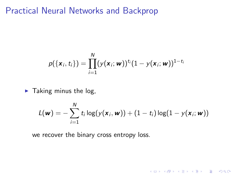$$
p({\{x_i, t_i\}}) = \prod_{i=1}^N (y({\bf x}_i; {\bf w}))^{t_i} (1 - y({\bf x}_i; {\bf w}))^{1-t_i}
$$

 $\blacktriangleright$  Taking minus the log,

$$
L(\mathbf{w}) = -\sum_{i=1}^N t_i \log(y(\mathbf{x}_i, \mathbf{w})) + (1-t_i) \log(1 - y(\mathbf{x}_i; \mathbf{w}))
$$

K ロ X イロ X K ミ X K ミ X ミ X Y Q Q Q

we recover the binary cross entropy loss.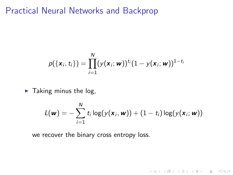$$
p({\mathbf{x}_i, t_i}) = \prod_{i=1}^N (y({\mathbf{x}_i; \mathbf{w}}))^{t_i}(1 - y({\mathbf{x}_i; \mathbf{w}}))^{1-t_i}
$$

 $\blacktriangleright$  Taking minus the log,

$$
L(\mathbf{w}) = -\sum_{i=1}^N t_i \log(y(\mathbf{x}_i, \mathbf{w})) + (1-t_i) \log(y(\mathbf{x}_i; \mathbf{w}))
$$

K ロ X イロ X K ミ X K ミ X ミ X Y Q Q Q

we recover the binary cross entropy loss.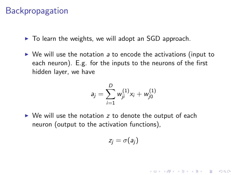- $\triangleright$  To learn the weights, we will adopt an SGD approach.
- $\triangleright$  We will use the notation a to encode the activations (input to each neuron). E.g. for the inputs to the neurons of the first hidden layer, we have

$$
a_j = \sum_{i=1}^D w_{ji}^{(1)} x_i + w_{j0}^{(1)}
$$

 $\triangleright$  We will use the notation z to denote the output of each neuron (output to the activation functions),

$$
z_j=\sigma(a_j)
$$

4 D > 4 P + 4 B + 4 B + B + 9 Q O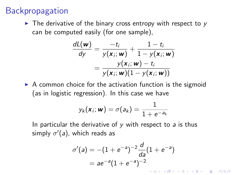$\triangleright$  The derivative of the binary cross entropy with respect to y can be computed easily (for one sample),

$$
\frac{dL(\mathbf{w})}{dy} = \frac{-t_i}{y(\mathbf{x}_i; \mathbf{w})} + \frac{1-t_i}{1-y(\mathbf{x}_i; \mathbf{w})}
$$

$$
= \frac{y(\mathbf{x}_i; \mathbf{w}) - t_i}{y(\mathbf{x}_i; \mathbf{w})(1-y(\mathbf{x}_i; \mathbf{w}))}
$$

 $\triangleright$  A common choice for the activation function is the sigmoid (as in logistic regression). In this case we have

$$
y_k(\mathbf{x}_i; \mathbf{w}) = \sigma(a_k) = \frac{1}{1 + e^{-a_k}}
$$

In particular the derivative of  $y$  with respect to  $a$  is thus simply  $\sigma'($ a), which reads as

$$
\sigma'(a) = -(1 + e^{-a})^{-2} \frac{d}{da} (1 + e^{-a})
$$
  
=  $ae^{-a} (1 + e^{-a})^{-2}$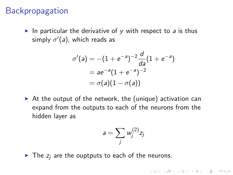In particular the derivative of y with respect to a is thus simply  $\sigma'($ a), which reads as

$$
\sigma'(a) = -(1 + e^{-a})^{-2} \frac{d}{da} (1 + e^{-a})
$$
  
=  $ae^{-a} (1 + e^{-a})^{-2}$   
=  $\sigma(a) (1 - \sigma(a))$ 

 $\triangleright$  At the output of the network, the (unique) activation can expand from the outputs to each of the neurons from the hidden layer as

$$
a=\sum_j w_j^{(2)}z_j
$$

KID KA KERKER KID KO

 $\blacktriangleright$  The  $z_i$  are the ouptputs to each of the neurons.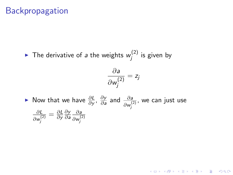$\blacktriangleright$  The derivative of a the weights  $w_i^{(2)}$  $\zeta_j^{(2)}$  is given by

$$
\frac{\partial a}{\partial w_j^{(2)}} = z_j
$$

KID KA KERKER KID KO

► Now that we have  $\frac{\partial L}{\partial y}$ ,  $\frac{\partial y}{\partial z}$  $\frac{\partial y}{\partial a}$  and  $\frac{\partial a}{\partial w_j^{(2)}}$ , we can just use ∂L  $\partial w_j^{(2)}$  $=\frac{\partial L}{\partial v}$ ∂y ∂y ∂a ∂a  $\partial w_j^{(2)}$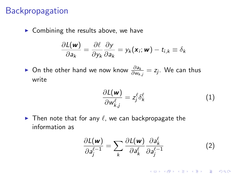$\triangleright$  Combining the results above, we have

$$
\frac{\partial L(\mathbf{w})}{\partial \mathbf{a}_k} = \frac{\partial \ell}{\partial y_k} \frac{\partial y}{\partial \mathbf{a}_k} = y_k(\mathbf{x}_i; \mathbf{w}) - t_{i,k} \equiv \delta_k
$$

► On the other hand we now know  $\frac{\partial a_k}{\partial w_{k,j}} = z_j$ . We can thus write

$$
\frac{\partial L(\mathbf{w})}{\partial w_{k,j}^{\ell}} = z_j^{\ell} \delta_k^{\ell} \tag{1}
$$

 $\blacktriangleright$  Then note that for any  $\ell$ , we can backpropagate the information as

$$
\frac{\partial L(\mathbf{w})}{\partial a_j^{\ell-1}} = \sum_k \frac{\partial L(\mathbf{w})}{\partial a_k^{\ell}} \frac{\partial a_k^{\ell}}{\partial a_j^{\ell-1}}
$$
(2)

**K ロ ▶ K @ ▶ K 할 X X 할 X 및 할 X X Q Q O**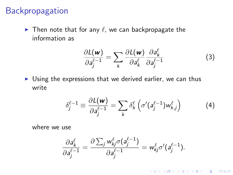$\blacktriangleright$  Then note that for any  $\ell$ , we can backpropagate the information as

$$
\frac{\partial L(\mathbf{w})}{\partial a_j^{\ell-1}} = \sum_k \frac{\partial L(\mathbf{w})}{\partial a_k^{\ell}} \frac{\partial a_k^{\ell}}{\partial a_j^{\ell-1}}
$$
(3)

 $\triangleright$  Using the expressions that we derived earlier, we can thus write

$$
\delta_j^{\ell-1} \equiv \frac{\partial L(\mathbf{w})}{\partial a_j^{\ell-1}} = \sum_k \delta_k^{\ell} \left( \sigma'(a_j^{\ell-1}) w_{k,j}^{\ell} \right)
$$
(4)

**K ロ ▶ K @ ▶ K 할 X X 할 X 및 할 X X Q Q O** 

where we use

$$
\frac{\partial a_k^{\ell}}{\partial a_j^{\ell-1}} = \frac{\partial \sum_j w_{kj}^{\ell} \sigma(a_j^{\ell-1})}{\partial a_j^{\ell-1}} = w_{kj}^{\ell} \sigma'(a_j^{\ell-1}).
$$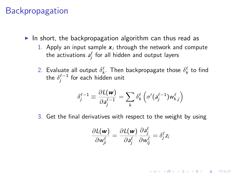- In short, the backpropagation algorithm can thus read as
	- 1. Apply an input sample  $x_i$  through the network and compute the activations  $a_j^\ell$  for all hidden and output layers
	- 2. Evaluate all output  $\delta_k^{\ell}$ . Then backpropagate those  $\delta_k^{\ell}$  to find the  $\delta^{\ell-1}_j$  for each hidden unit

$$
\delta_j^{\ell-1} \equiv \frac{\partial \mathcal{L}(\mathbf{w})}{\partial \mathbf{a}_j^{\ell-1}} = \sum_k \delta_k^{\ell} \left( \sigma'(\mathbf{a}_j^{\ell-1}) \mathbf{w}_{k,j}^{\ell} \right)
$$

3. Get the final derivatives with respect to the weight by using

$$
\frac{\partial L(\mathbf{w})}{\partial w_{ji}^{\ell}} = \frac{\partial L(\mathbf{w})}{\partial a_j^{\ell}} \frac{\partial a_j^{\ell}}{\partial w_{ij}^{\ell}} = \delta_j^{\ell} z_i
$$

**KORKAR KERKER EL VOLO**